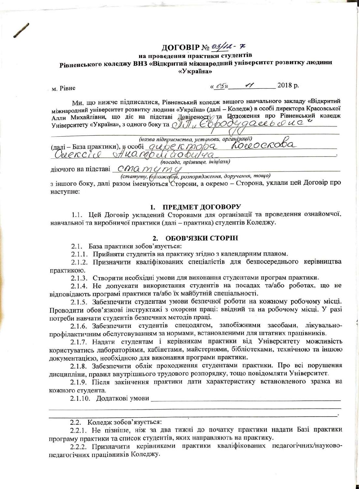### ДОГОВІР № *03/12* - ≉

#### на проведення практики студентів Рівненського коледжу ВНЗ «Відкритий міжнародний університет розвитку людини «Україна»

M. PiBHe

 $\frac{1}{2018 p}$ .

Ми, що нижче підписалися, Рівненський коледж вищого навчального закладу «Відкритий міжнародний університет розвитку людини «Україна» (далі - Коледж) в особі директора Красовської Алли Михайлівни, що діє на підставі Довіреності/ та Цоложення про Рівненський коледж Університету «Україна», з одного боку та  $\partial \overline{J} \overline{J}_{\mu}$  Свродудаевь сист

(назва підприємства, установи, організації) Creencie Dans de Choisin Communication

(посада, прізвище, ініціали)

діючого на підставі СМО МУМУ

(статуту, боложерци, розпорядження, доручення, тощо)

з іншого боку, далі разом іменуються Сторони, а окремо - Сторона, уклали цей Договір про наступне:

#### 1. ПРЕДМЕТ ДОГОВОРУ

1.1. Цей Договір укладений Сторонами для організації та проведення ознайомчої, навчальної та виробничої практики (далі - практика) студентів Коледжу.

#### 2. ОБОВ'ЯЗКИ СТОРІН

2.1. База практики зобов'язується:

2.1.1. Прийняти студентів на практику згідно з календарним планом.

2.1.2. Призначити кваліфікованих спеціалістів для безпосереднього керівництва практикою.

2.1.3. Створити необхідні умови для виконання студентами програм практики.

2.1.4. Не допускати використання студентів на посадах та/або роботах, що не відповідають програмі практики та/або їх майбутній спеціальності.

2.1.5. Забезпечити студентам умови безпечної роботи на кожному робочому місці. Проводити обов'язкові інструктажі з охорони праці: ввідний та на робочому місці. У разі потреби навчати студентів безпечних методів праці.

2.1.6. Забезпечити студентів спецодягом, запобіжними засобами, лікувальнопрофілактичним обслуговуванням за нормами, встановленими для штатних працівників.

2.1.7. Надати студентам і керівникам практики від Університету можливість користуватись лабораторіями, кабінетами, майстернями, бібліотеками, технічною та іншою документацією, необхідною для виконання програми практики.

2.1.8. Забезпечити облік проходження студентами практики. Про всі порушення дисципліни, правил внутрішнього трудового розпорядку, тощо повідомляти Університет.

2.1.9. Після закінчення практики дати характеристику встановленого зразка на кожного студента.

2.1.10. Додаткові умови

2.2. Коледж зобов'язується:

2.2.1. Не пізніше, ніж за два тижні до початку практики надати Базі практики програму практики та список студентів, яких направляють на практику.

2.2.2. Призначити керівниками практики кваліфікованих педагогічних/науковопедагогічних працівників Коледжу.